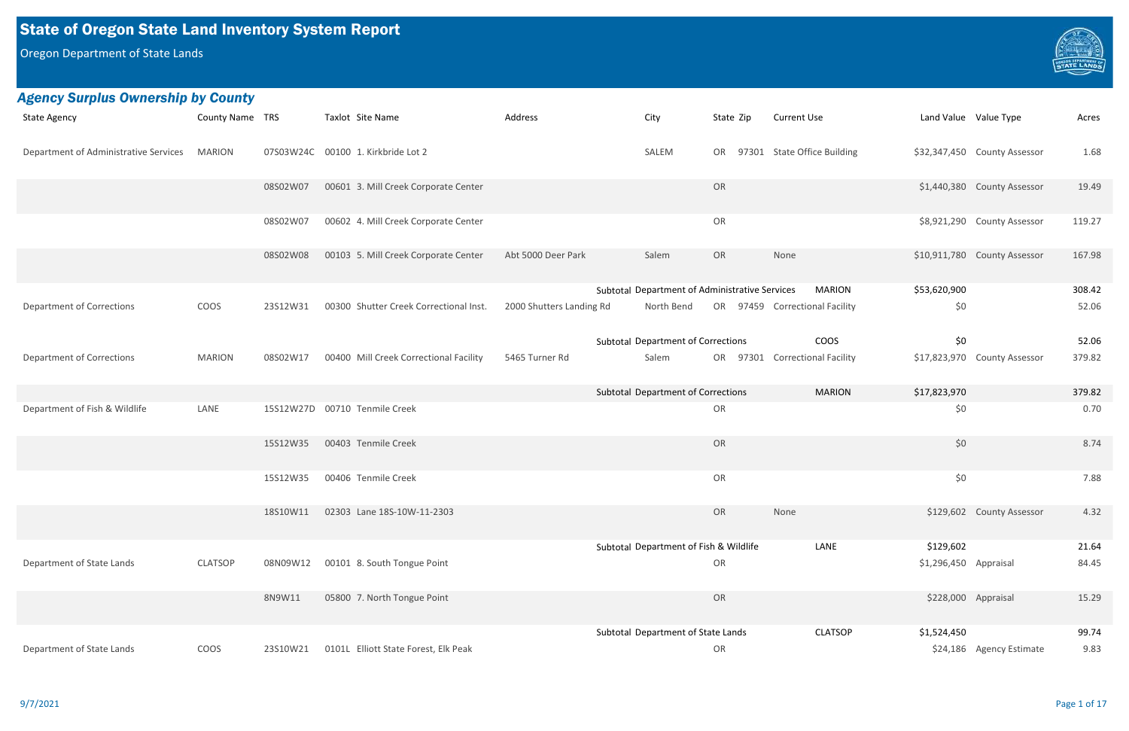# State of Oregon State Land Inventory System Report

Oregon Department of State Lands

| <b>State Agency</b>                          | County Name TRS |          | Taxlot Site Name                       | Address                  | City                                           | State Zip | <b>Current Use</b>             | Land Value Value Type |                              | Acres  |
|----------------------------------------------|-----------------|----------|----------------------------------------|--------------------------|------------------------------------------------|-----------|--------------------------------|-----------------------|------------------------------|--------|
| Department of Administrative Services MARION |                 |          | 07S03W24C 00100 1. Kirkbride Lot 2     |                          | SALEM                                          | OR        | 97301 State Office Building    |                       | \$32,347,450 County Assessor | 1.68   |
|                                              |                 | 08S02W07 | 00601 3. Mill Creek Corporate Center   |                          |                                                | OR        |                                |                       | \$1,440,380 County Assessor  | 19.49  |
|                                              |                 | 08S02W07 | 00602 4. Mill Creek Corporate Center   |                          |                                                | OR        |                                |                       | \$8,921,290 County Assessor  | 119.27 |
|                                              |                 | 08S02W08 | 00103 5. Mill Creek Corporate Center   | Abt 5000 Deer Park       | Salem                                          | OR        | None                           |                       | \$10,911,780 County Assessor | 167.98 |
|                                              |                 |          |                                        |                          | Subtotal Department of Administrative Services |           | <b>MARION</b>                  | \$53,620,900          |                              | 308.42 |
| <b>Department of Corrections</b>             | COOS            | 23S12W31 | 00300 Shutter Creek Correctional Inst. | 2000 Shutters Landing Rd | North Bend                                     |           | OR 97459 Correctional Facility | \$0                   |                              | 52.06  |
|                                              |                 |          |                                        |                          | <b>Subtotal Department of Corrections</b>      |           | <b>COOS</b>                    | \$0\$                 |                              | 52.06  |
| <b>Department of Corrections</b>             | <b>MARION</b>   | 08S02W17 | 00400 Mill Creek Correctional Facility | 5465 Turner Rd           | Salem                                          |           | OR 97301 Correctional Facility |                       | \$17,823,970 County Assessor | 379.82 |
|                                              |                 |          |                                        |                          | Subtotal Department of Corrections             |           | <b>MARION</b>                  | \$17,823,970          |                              | 379.82 |
| Department of Fish & Wildlife                | LANE            |          | 15S12W27D 00710 Tenmile Creek          |                          |                                                | OR        |                                | \$0                   |                              | 0.70   |
|                                              |                 | 15S12W35 | 00403 Tenmile Creek                    |                          |                                                | OR        |                                | \$0                   |                              | 8.74   |
|                                              |                 | 15S12W35 | 00406 Tenmile Creek                    |                          |                                                | OR        |                                | \$0                   |                              | 7.88   |
|                                              |                 | 18S10W11 | 02303 Lane 18S-10W-11-2303             |                          |                                                | OR        | None                           |                       | \$129,602 County Assessor    | 4.32   |
|                                              |                 |          |                                        |                          | Subtotal Department of Fish & Wildlife         |           | LANE                           | \$129,602             |                              | 21.64  |
| Department of State Lands                    | <b>CLATSOP</b>  | 08N09W12 | 00101 8. South Tongue Point            |                          |                                                | OR        |                                | \$1,296,450 Appraisal |                              | 84.45  |
|                                              |                 | 8N9W11   | 05800 7. North Tongue Point            |                          |                                                | OR        |                                | \$228,000 Appraisal   |                              | 15.29  |
|                                              |                 |          |                                        |                          | Subtotal Department of State Lands             |           | <b>CLATSOP</b>                 | \$1,524,450           |                              | 99.74  |
| Department of State Lands                    | COOS            | 23S10W21 | 0101L Elliott State Forest, Elk Peak   |                          |                                                | OR        |                                |                       | \$24,186 Agency Estimate     | 9.83   |

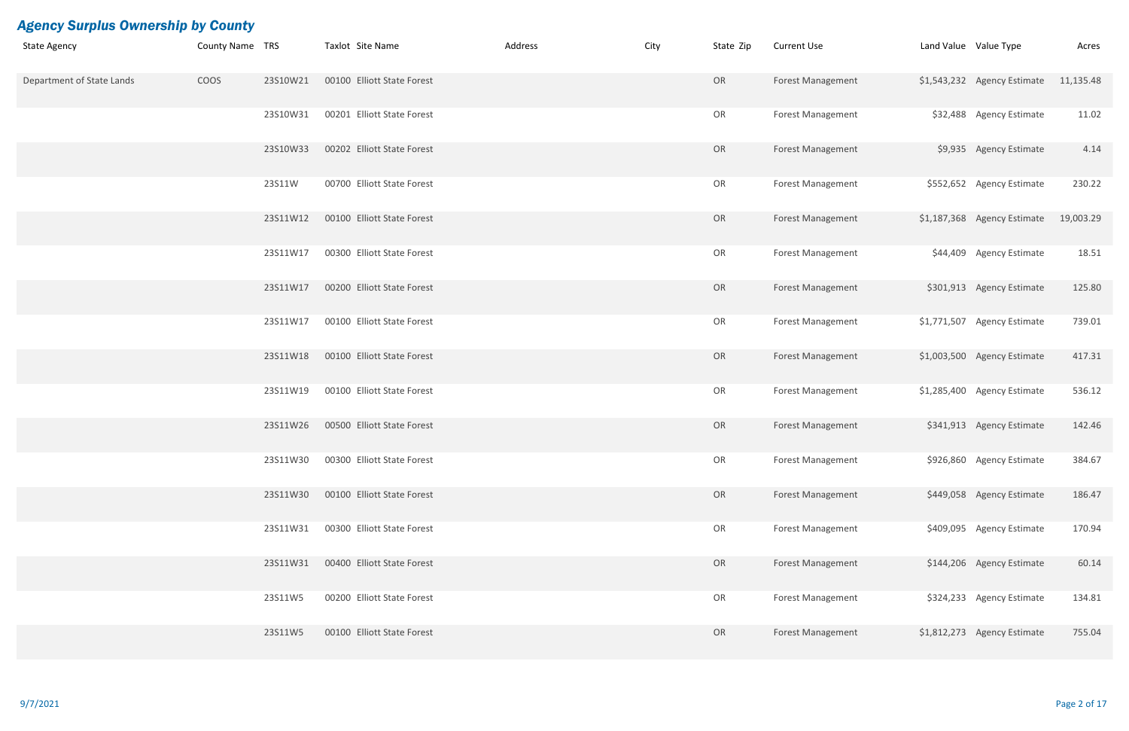| <b>State Agency</b>       | County Name TRS |          | Taxlot Site Name           | Address | City | State Zip | <b>Current Use</b>       | Land Value Value Type |                                       | Acres     |
|---------------------------|-----------------|----------|----------------------------|---------|------|-----------|--------------------------|-----------------------|---------------------------------------|-----------|
| Department of State Lands | COOS            | 23S10W21 | 00100 Elliott State Forest |         |      | OR        | <b>Forest Management</b> |                       | \$1,543,232 Agency Estimate 11,135.48 |           |
|                           |                 | 23S10W31 | 00201 Elliott State Forest |         |      | OR        | <b>Forest Management</b> |                       | \$32,488 Agency Estimate              | 11.02     |
|                           |                 | 23S10W33 | 00202 Elliott State Forest |         |      | OR        | <b>Forest Management</b> |                       | \$9,935 Agency Estimate               | 4.14      |
|                           |                 | 23S11W   | 00700 Elliott State Forest |         |      | OR        | <b>Forest Management</b> |                       | \$552,652 Agency Estimate             | 230.22    |
|                           |                 | 23S11W12 | 00100 Elliott State Forest |         |      | OR        | <b>Forest Management</b> |                       | \$1,187,368 Agency Estimate           | 19,003.29 |
|                           |                 | 23S11W17 | 00300 Elliott State Forest |         |      | OR        | <b>Forest Management</b> |                       | \$44,409 Agency Estimate              | 18.51     |
|                           |                 | 23S11W17 | 00200 Elliott State Forest |         |      | OR        | Forest Management        |                       | \$301,913 Agency Estimate             | 125.80    |
|                           |                 | 23S11W17 | 00100 Elliott State Forest |         |      | OR        | <b>Forest Management</b> |                       | \$1,771,507 Agency Estimate           | 739.01    |
|                           |                 | 23S11W18 | 00100 Elliott State Forest |         |      | OR        | <b>Forest Management</b> |                       | \$1,003,500 Agency Estimate           | 417.31    |
|                           |                 | 23S11W19 | 00100 Elliott State Forest |         |      | OR        | <b>Forest Management</b> |                       | \$1,285,400 Agency Estimate           | 536.12    |
|                           |                 | 23S11W26 | 00500 Elliott State Forest |         |      | OR        | <b>Forest Management</b> |                       | \$341,913 Agency Estimate             | 142.46    |
|                           |                 | 23S11W30 | 00300 Elliott State Forest |         |      | OR        | Forest Management        |                       | \$926,860 Agency Estimate             | 384.67    |
|                           |                 | 23S11W30 | 00100 Elliott State Forest |         |      | OR        | Forest Management        |                       | \$449,058 Agency Estimate             | 186.47    |
|                           |                 | 23S11W31 | 00300 Elliott State Forest |         |      | OR        | <b>Forest Management</b> |                       | \$409,095 Agency Estimate             | 170.94    |
|                           |                 | 23S11W31 | 00400 Elliott State Forest |         |      | OR        | Forest Management        |                       | \$144,206 Agency Estimate             | 60.14     |
|                           |                 | 23S11W5  | 00200 Elliott State Forest |         |      | OR        | <b>Forest Management</b> |                       | \$324,233 Agency Estimate             | 134.81    |
|                           |                 | 23S11W5  | 00100 Elliott State Forest |         |      | OR        | <b>Forest Management</b> |                       | \$1,812,273 Agency Estimate           | 755.04    |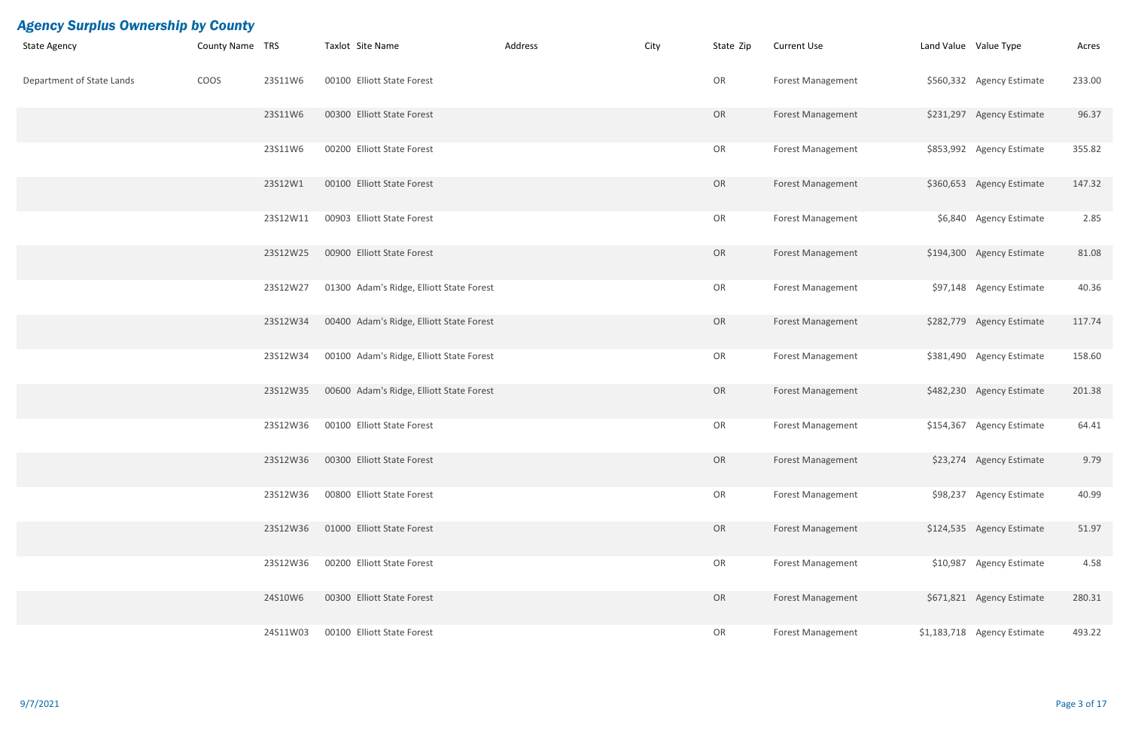| <b>State Agency</b>       | <b>County Name TRS</b> |          | Taxlot Site Name                         | Address | City | State Zip | <b>Current Use</b>       | Land Value Value Type |                             | Acres  |
|---------------------------|------------------------|----------|------------------------------------------|---------|------|-----------|--------------------------|-----------------------|-----------------------------|--------|
| Department of State Lands | COOS                   | 23S11W6  | 00100 Elliott State Forest               |         |      | OR        | <b>Forest Management</b> |                       | \$560,332 Agency Estimate   | 233.00 |
|                           |                        | 23S11W6  | 00300 Elliott State Forest               |         |      | OR        | <b>Forest Management</b> |                       | \$231,297 Agency Estimate   | 96.37  |
|                           |                        | 23S11W6  | 00200 Elliott State Forest               |         |      | OR        | <b>Forest Management</b> |                       | \$853,992 Agency Estimate   | 355.82 |
|                           |                        | 23S12W1  | 00100 Elliott State Forest               |         |      | OR        | <b>Forest Management</b> |                       | \$360,653 Agency Estimate   | 147.32 |
|                           |                        | 23S12W11 | 00903 Elliott State Forest               |         |      | OR        | <b>Forest Management</b> |                       | \$6,840 Agency Estimate     | 2.85   |
|                           |                        | 23S12W25 | 00900 Elliott State Forest               |         |      | OR        | <b>Forest Management</b> |                       | \$194,300 Agency Estimate   | 81.08  |
|                           |                        | 23S12W27 | 01300 Adam's Ridge, Elliott State Forest |         |      | OR        | <b>Forest Management</b> |                       | \$97,148 Agency Estimate    | 40.36  |
|                           |                        | 23S12W34 | 00400 Adam's Ridge, Elliott State Forest |         |      | OR        | <b>Forest Management</b> |                       | \$282,779 Agency Estimate   | 117.74 |
|                           |                        | 23S12W34 | 00100 Adam's Ridge, Elliott State Forest |         |      | OR        | <b>Forest Management</b> |                       | \$381,490 Agency Estimate   | 158.60 |
|                           |                        | 23S12W35 | 00600 Adam's Ridge, Elliott State Forest |         |      | OR        | Forest Management        |                       | \$482,230 Agency Estimate   | 201.38 |
|                           |                        | 23S12W36 | 00100 Elliott State Forest               |         |      | OR        | <b>Forest Management</b> |                       | \$154,367 Agency Estimate   | 64.41  |
|                           |                        | 23S12W36 | 00300 Elliott State Forest               |         |      | OR        | <b>Forest Management</b> |                       | \$23,274 Agency Estimate    | 9.79   |
|                           |                        | 23S12W36 | 00800 Elliott State Forest               |         |      | OR        | <b>Forest Management</b> |                       | \$98,237 Agency Estimate    | 40.99  |
|                           |                        | 23S12W36 | 01000 Elliott State Forest               |         |      | OR        | <b>Forest Management</b> |                       | \$124,535 Agency Estimate   | 51.97  |
|                           |                        | 23S12W36 | 00200 Elliott State Forest               |         |      | OR        | <b>Forest Management</b> |                       | \$10,987 Agency Estimate    | 4.58   |
|                           |                        | 24S10W6  | 00300 Elliott State Forest               |         |      | OR        | <b>Forest Management</b> |                       | \$671,821 Agency Estimate   | 280.31 |
|                           |                        | 24S11W03 | 00100 Elliott State Forest               |         |      | OR        | <b>Forest Management</b> |                       | \$1,183,718 Agency Estimate | 493.22 |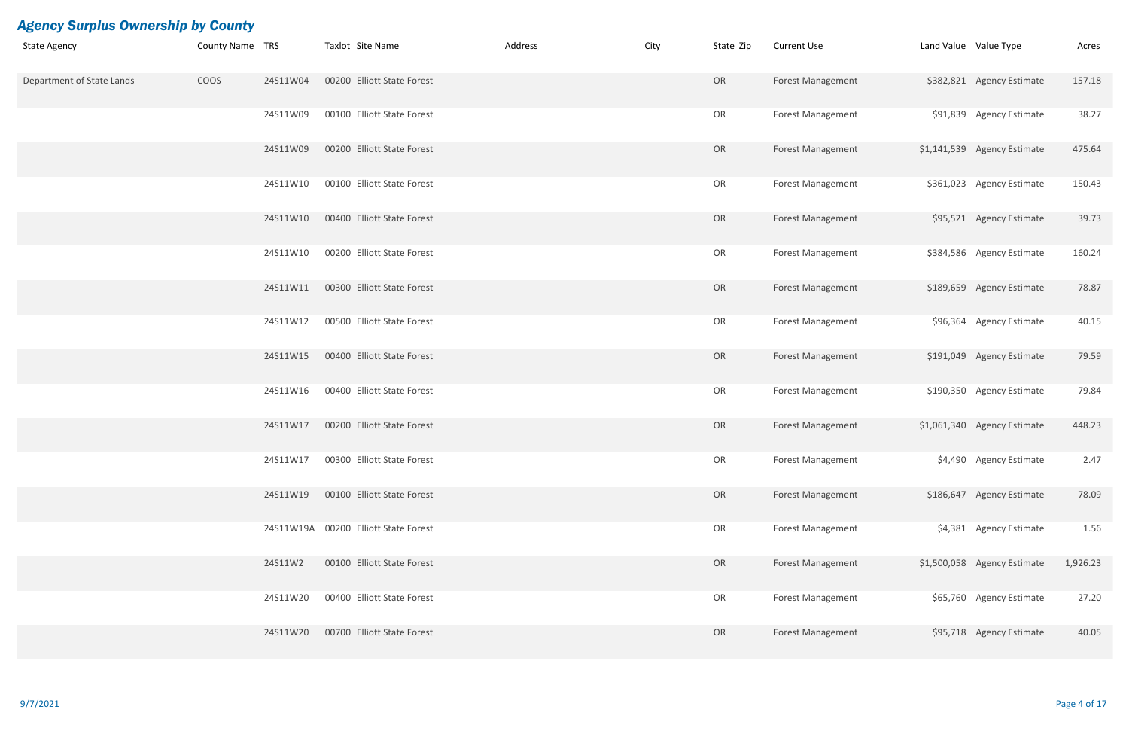| <b>State Agency</b>       | County Name TRS |          | Taxlot Site Name                     | Address | City | State Zip | <b>Current Use</b>       | Land Value Value Type |                             | Acres    |
|---------------------------|-----------------|----------|--------------------------------------|---------|------|-----------|--------------------------|-----------------------|-----------------------------|----------|
| Department of State Lands | COOS            | 24S11W04 | 00200 Elliott State Forest           |         |      | OR        | <b>Forest Management</b> |                       | \$382,821 Agency Estimate   | 157.18   |
|                           |                 | 24S11W09 | 00100 Elliott State Forest           |         |      | OR        | Forest Management        |                       | \$91,839 Agency Estimate    | 38.27    |
|                           |                 | 24S11W09 | 00200 Elliott State Forest           |         |      | OR        | <b>Forest Management</b> |                       | \$1,141,539 Agency Estimate | 475.64   |
|                           |                 | 24S11W10 | 00100 Elliott State Forest           |         |      | OR        | <b>Forest Management</b> |                       | \$361,023 Agency Estimate   | 150.43   |
|                           |                 | 24S11W10 | 00400 Elliott State Forest           |         |      | OR        | <b>Forest Management</b> |                       | \$95,521 Agency Estimate    | 39.73    |
|                           |                 | 24S11W10 | 00200 Elliott State Forest           |         |      | OR        | <b>Forest Management</b> |                       | \$384,586 Agency Estimate   | 160.24   |
|                           |                 | 24S11W11 | 00300 Elliott State Forest           |         |      | OR        | <b>Forest Management</b> |                       | \$189,659 Agency Estimate   | 78.87    |
|                           |                 | 24S11W12 | 00500 Elliott State Forest           |         |      | OR        | <b>Forest Management</b> |                       | \$96,364 Agency Estimate    | 40.15    |
|                           |                 | 24S11W15 | 00400 Elliott State Forest           |         |      | OR        | <b>Forest Management</b> |                       | \$191,049 Agency Estimate   | 79.59    |
|                           |                 | 24S11W16 | 00400 Elliott State Forest           |         |      | OR        | <b>Forest Management</b> |                       | \$190,350 Agency Estimate   | 79.84    |
|                           |                 | 24S11W17 | 00200 Elliott State Forest           |         |      | OR        | <b>Forest Management</b> |                       | \$1,061,340 Agency Estimate | 448.23   |
|                           |                 | 24S11W17 | 00300 Elliott State Forest           |         |      | OR        | <b>Forest Management</b> |                       | \$4,490 Agency Estimate     | 2.47     |
|                           |                 | 24S11W19 | 00100 Elliott State Forest           |         |      | OR        | <b>Forest Management</b> |                       | \$186,647 Agency Estimate   | 78.09    |
|                           |                 |          | 24S11W19A 00200 Elliott State Forest |         |      | OR        | <b>Forest Management</b> |                       | \$4,381 Agency Estimate     | 1.56     |
|                           |                 | 24S11W2  | 00100 Elliott State Forest           |         |      | OR        | <b>Forest Management</b> |                       | \$1,500,058 Agency Estimate | 1,926.23 |
|                           |                 | 24S11W20 | 00400 Elliott State Forest           |         |      | OR        | <b>Forest Management</b> |                       | \$65,760 Agency Estimate    | 27.20    |
|                           |                 | 24S11W20 | 00700 Elliott State Forest           |         |      | OR        | <b>Forest Management</b> |                       | \$95,718 Agency Estimate    | 40.05    |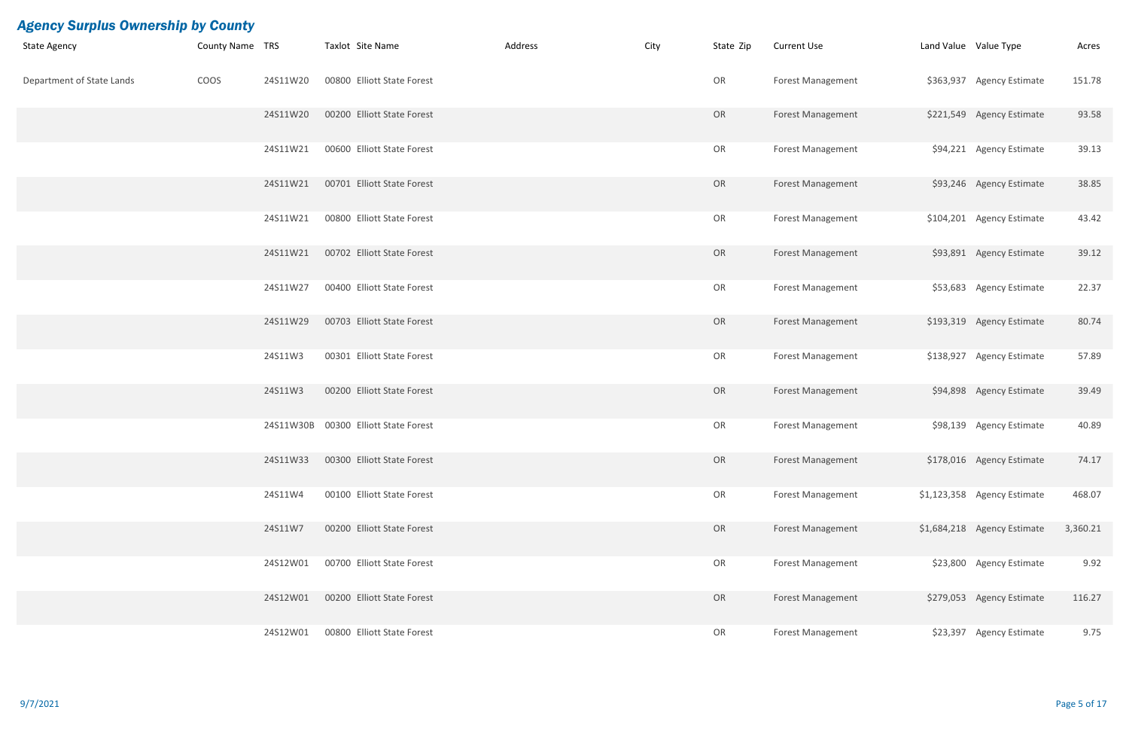| <b>State Agency</b>       | County Name TRS |          | Taxlot Site Name                     | Address | City | State Zip | <b>Current Use</b>       | Land Value Value Type |                             | Acres    |
|---------------------------|-----------------|----------|--------------------------------------|---------|------|-----------|--------------------------|-----------------------|-----------------------------|----------|
| Department of State Lands | COOS            | 24S11W20 | 00800 Elliott State Forest           |         |      | OR        | <b>Forest Management</b> |                       | \$363,937 Agency Estimate   | 151.78   |
|                           |                 | 24S11W20 | 00200 Elliott State Forest           |         |      | OR        | <b>Forest Management</b> |                       | \$221,549 Agency Estimate   | 93.58    |
|                           |                 | 24S11W21 | 00600 Elliott State Forest           |         |      | OR        | <b>Forest Management</b> |                       | \$94,221 Agency Estimate    | 39.13    |
|                           |                 | 24S11W21 | 00701 Elliott State Forest           |         |      | OR        | <b>Forest Management</b> |                       | \$93,246 Agency Estimate    | 38.85    |
|                           |                 | 24S11W21 | 00800 Elliott State Forest           |         |      | OR        | <b>Forest Management</b> |                       | \$104,201 Agency Estimate   | 43.42    |
|                           |                 | 24S11W21 | 00702 Elliott State Forest           |         |      | OR        | <b>Forest Management</b> |                       | \$93,891 Agency Estimate    | 39.12    |
|                           |                 | 24S11W27 | 00400 Elliott State Forest           |         |      | OR        | <b>Forest Management</b> |                       | \$53,683 Agency Estimate    | 22.37    |
|                           |                 | 24S11W29 | 00703 Elliott State Forest           |         |      | OR        | <b>Forest Management</b> |                       | \$193,319 Agency Estimate   | 80.74    |
|                           |                 | 24S11W3  | 00301 Elliott State Forest           |         |      | OR        | <b>Forest Management</b> |                       | \$138,927 Agency Estimate   | 57.89    |
|                           |                 | 24S11W3  | 00200 Elliott State Forest           |         |      | OR        | <b>Forest Management</b> |                       | \$94,898 Agency Estimate    | 39.49    |
|                           |                 |          | 24S11W30B 00300 Elliott State Forest |         |      | OR        | <b>Forest Management</b> |                       | \$98,139 Agency Estimate    | 40.89    |
|                           |                 | 24S11W33 | 00300 Elliott State Forest           |         |      | OR        | Forest Management        |                       | \$178,016 Agency Estimate   | 74.17    |
|                           |                 | 24S11W4  | 00100 Elliott State Forest           |         |      | OR        | <b>Forest Management</b> |                       | \$1,123,358 Agency Estimate | 468.07   |
|                           |                 | 24S11W7  | 00200 Elliott State Forest           |         |      | OR        | <b>Forest Management</b> |                       | \$1,684,218 Agency Estimate | 3,360.21 |
|                           |                 | 24S12W01 | 00700 Elliott State Forest           |         |      | OR        | <b>Forest Management</b> |                       | \$23,800 Agency Estimate    | 9.92     |
|                           |                 | 24S12W01 | 00200 Elliott State Forest           |         |      | OR        | <b>Forest Management</b> |                       | \$279,053 Agency Estimate   | 116.27   |
|                           |                 | 24S12W01 | 00800 Elliott State Forest           |         |      | OR        | Forest Management        |                       | \$23,397 Agency Estimate    | 9.75     |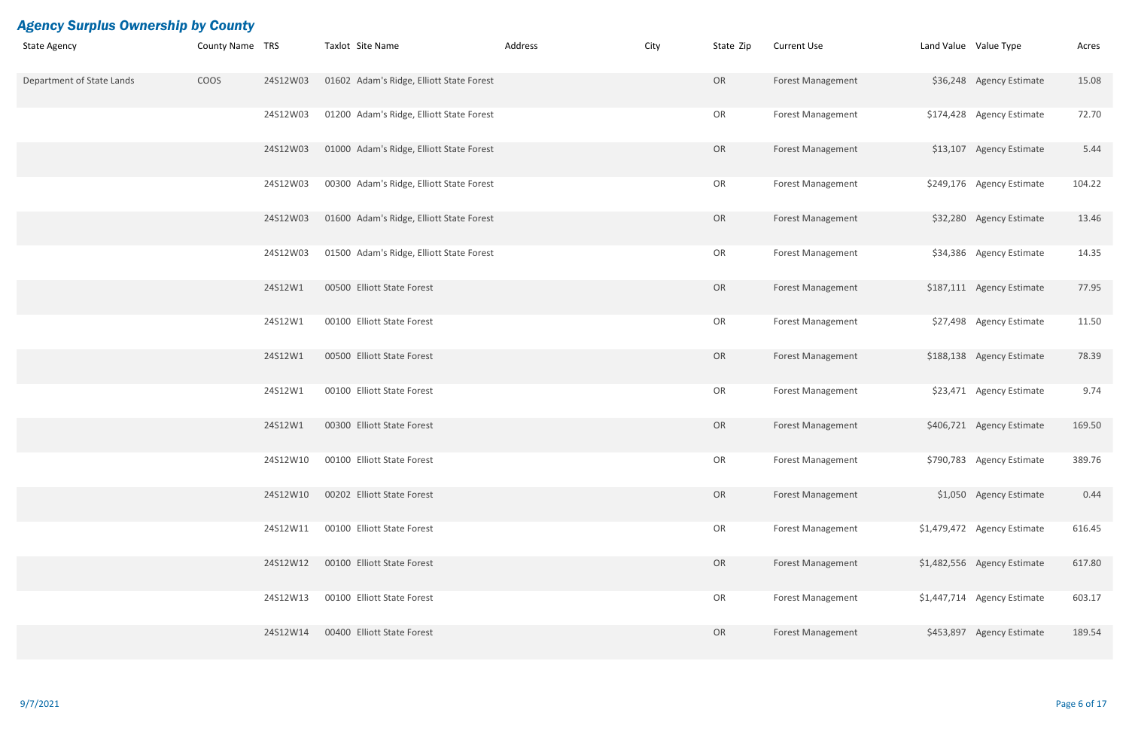| <b>State Agency</b>       | County Name TRS |          | Taxlot Site Name                         | Address | City | State Zip | <b>Current Use</b>       | Land Value Value Type |                             | Acres  |
|---------------------------|-----------------|----------|------------------------------------------|---------|------|-----------|--------------------------|-----------------------|-----------------------------|--------|
| Department of State Lands | COOS            | 24S12W03 | 01602 Adam's Ridge, Elliott State Forest |         |      | OR        | <b>Forest Management</b> |                       | \$36,248 Agency Estimate    | 15.08  |
|                           |                 | 24S12W03 | 01200 Adam's Ridge, Elliott State Forest |         |      | OR        | <b>Forest Management</b> |                       | \$174,428 Agency Estimate   | 72.70  |
|                           |                 | 24S12W03 | 01000 Adam's Ridge, Elliott State Forest |         |      | OR        | <b>Forest Management</b> |                       | \$13,107 Agency Estimate    | 5.44   |
|                           |                 | 24S12W03 | 00300 Adam's Ridge, Elliott State Forest |         |      | OR        | <b>Forest Management</b> |                       | \$249,176 Agency Estimate   | 104.22 |
|                           |                 | 24S12W03 | 01600 Adam's Ridge, Elliott State Forest |         |      | OR        | <b>Forest Management</b> |                       | \$32,280 Agency Estimate    | 13.46  |
|                           |                 | 24S12W03 | 01500 Adam's Ridge, Elliott State Forest |         |      | OR        | <b>Forest Management</b> |                       | \$34,386 Agency Estimate    | 14.35  |
|                           |                 | 24S12W1  | 00500 Elliott State Forest               |         |      | OR        | Forest Management        |                       | \$187,111 Agency Estimate   | 77.95  |
|                           |                 | 24S12W1  | 00100 Elliott State Forest               |         |      | OR        | <b>Forest Management</b> |                       | \$27,498 Agency Estimate    | 11.50  |
|                           |                 | 24S12W1  | 00500 Elliott State Forest               |         |      | OR        | <b>Forest Management</b> |                       | \$188,138 Agency Estimate   | 78.39  |
|                           |                 | 24S12W1  | 00100 Elliott State Forest               |         |      | OR        | <b>Forest Management</b> |                       | \$23,471 Agency Estimate    | 9.74   |
|                           |                 | 24S12W1  | 00300 Elliott State Forest               |         |      | OR        | <b>Forest Management</b> |                       | \$406,721 Agency Estimate   | 169.50 |
|                           |                 | 24S12W10 | 00100 Elliott State Forest               |         |      | OR        | <b>Forest Management</b> |                       | \$790,783 Agency Estimate   | 389.76 |
|                           |                 | 24S12W10 | 00202 Elliott State Forest               |         |      | OR        | <b>Forest Management</b> |                       | \$1,050 Agency Estimate     | 0.44   |
|                           |                 | 24S12W11 | 00100 Elliott State Forest               |         |      | OR        | <b>Forest Management</b> |                       | \$1,479,472 Agency Estimate | 616.45 |
|                           |                 | 24S12W12 | 00100 Elliott State Forest               |         |      | OR        | <b>Forest Management</b> |                       | \$1,482,556 Agency Estimate | 617.80 |
|                           |                 | 24S12W13 | 00100 Elliott State Forest               |         |      | OR        | <b>Forest Management</b> |                       | \$1,447,714 Agency Estimate | 603.17 |
|                           |                 | 24S12W14 | 00400 Elliott State Forest               |         |      | OR        | <b>Forest Management</b> |                       | \$453,897 Agency Estimate   | 189.54 |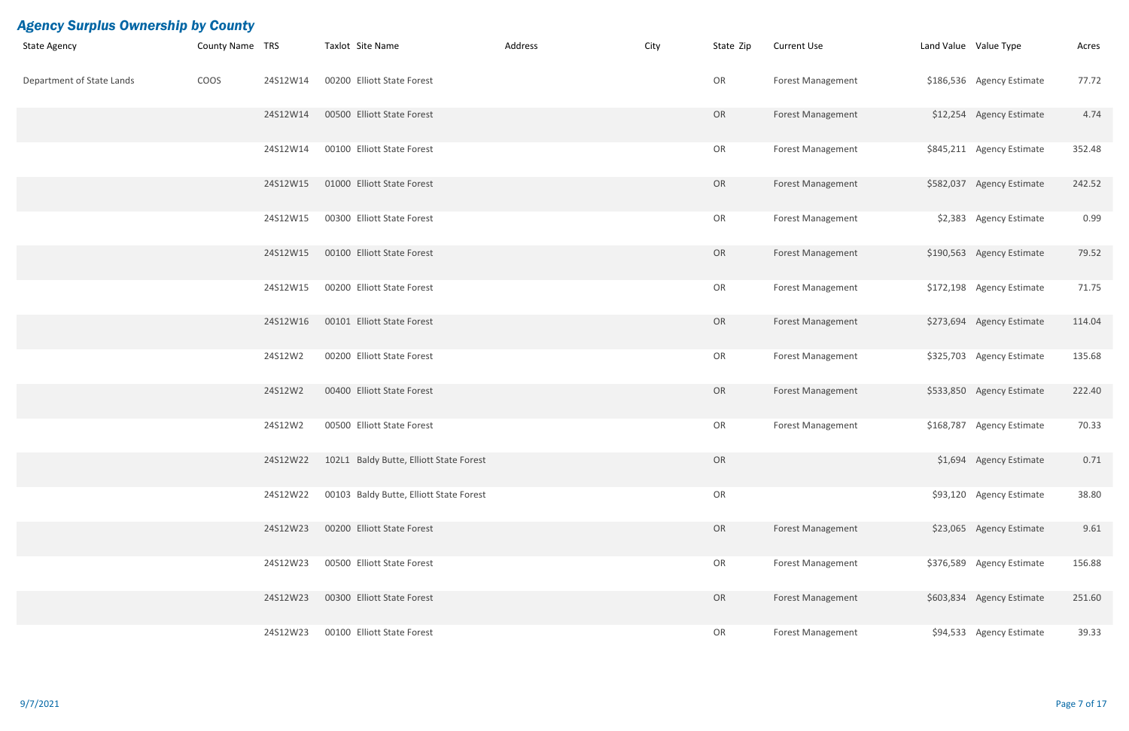| <b>State Agency</b>       | County Name TRS |          | Taxlot Site Name                        | Address | City | State Zip | <b>Current Use</b>       | Land Value Value Type |                           | Acres  |
|---------------------------|-----------------|----------|-----------------------------------------|---------|------|-----------|--------------------------|-----------------------|---------------------------|--------|
| Department of State Lands | COOS            | 24S12W14 | 00200 Elliott State Forest              |         |      | OR        | <b>Forest Management</b> |                       | \$186,536 Agency Estimate | 77.72  |
|                           |                 | 24S12W14 | 00500 Elliott State Forest              |         |      | OR        | <b>Forest Management</b> |                       | \$12,254 Agency Estimate  | 4.74   |
|                           |                 | 24S12W14 | 00100 Elliott State Forest              |         |      | OR        | <b>Forest Management</b> |                       | \$845,211 Agency Estimate | 352.48 |
|                           |                 | 24S12W15 | 01000 Elliott State Forest              |         |      | OR        | <b>Forest Management</b> |                       | \$582,037 Agency Estimate | 242.52 |
|                           |                 | 24S12W15 | 00300 Elliott State Forest              |         |      | OR        | <b>Forest Management</b> |                       | \$2,383 Agency Estimate   | 0.99   |
|                           |                 | 24S12W15 | 00100 Elliott State Forest              |         |      | OR        | <b>Forest Management</b> |                       | \$190,563 Agency Estimate | 79.52  |
|                           |                 | 24S12W15 | 00200 Elliott State Forest              |         |      | OR        | <b>Forest Management</b> |                       | \$172,198 Agency Estimate | 71.75  |
|                           |                 | 24S12W16 | 00101 Elliott State Forest              |         |      | OR        | <b>Forest Management</b> |                       | \$273,694 Agency Estimate | 114.04 |
|                           |                 | 24S12W2  | 00200 Elliott State Forest              |         |      | OR        | <b>Forest Management</b> |                       | \$325,703 Agency Estimate | 135.68 |
|                           |                 | 24S12W2  | 00400 Elliott State Forest              |         |      | OR        | <b>Forest Management</b> |                       | \$533,850 Agency Estimate | 222.40 |
|                           |                 | 24S12W2  | 00500 Elliott State Forest              |         |      | OR        | <b>Forest Management</b> |                       | \$168,787 Agency Estimate | 70.33  |
|                           |                 | 24S12W22 | 102L1 Baldy Butte, Elliott State Forest |         |      | OR        |                          |                       | \$1,694 Agency Estimate   | 0.71   |
|                           |                 | 24S12W22 | 00103 Baldy Butte, Elliott State Forest |         |      | OR        |                          |                       | \$93,120 Agency Estimate  | 38.80  |
|                           |                 | 24S12W23 | 00200 Elliott State Forest              |         |      | OR        | Forest Management        |                       | \$23,065 Agency Estimate  | 9.61   |
|                           |                 | 24S12W23 | 00500 Elliott State Forest              |         |      | OR        | <b>Forest Management</b> |                       | \$376,589 Agency Estimate | 156.88 |
|                           |                 | 24S12W23 | 00300 Elliott State Forest              |         |      | OR        | <b>Forest Management</b> |                       | \$603,834 Agency Estimate | 251.60 |
|                           |                 | 24S12W23 | 00100 Elliott State Forest              |         |      | OR        | <b>Forest Management</b> |                       | \$94,533 Agency Estimate  | 39.33  |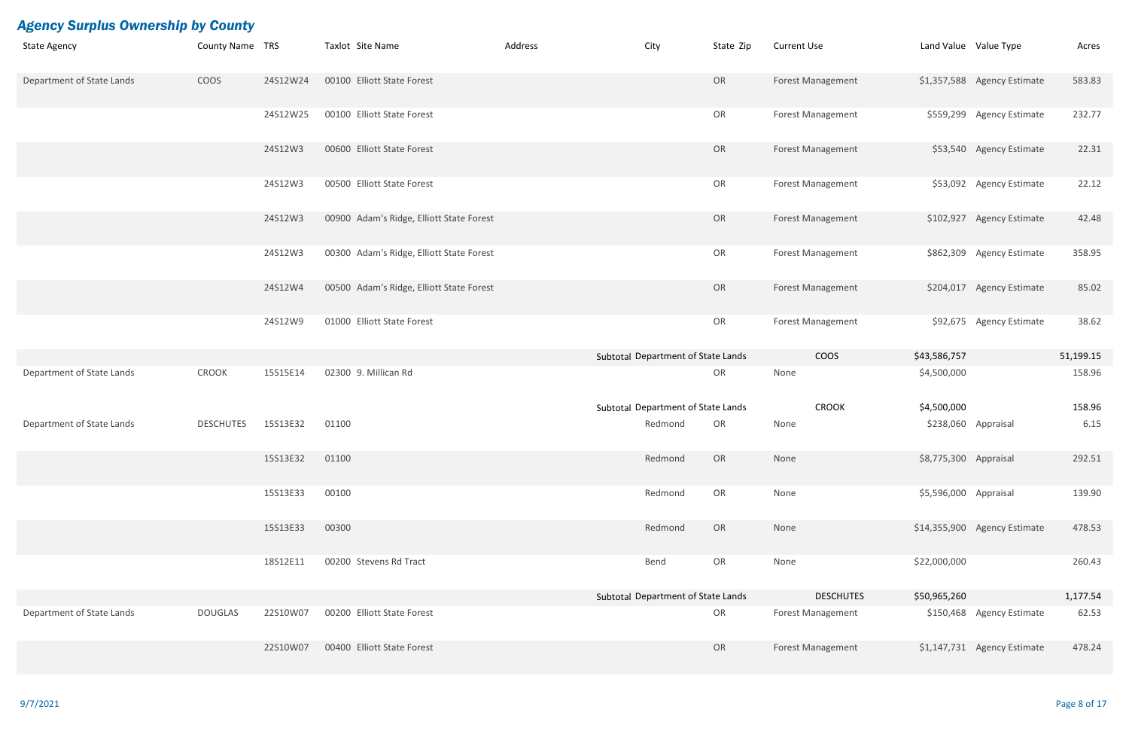| <b>State Agency</b>       | County Name TRS  |          | Taxlot Site Name                         | Address | City                               | State Zip | <b>Current Use</b>       | Land Value Value Type |                              | Acres     |
|---------------------------|------------------|----------|------------------------------------------|---------|------------------------------------|-----------|--------------------------|-----------------------|------------------------------|-----------|
| Department of State Lands | COOS             | 24S12W24 | 00100 Elliott State Forest               |         |                                    | OR        | <b>Forest Management</b> |                       | \$1,357,588 Agency Estimate  | 583.83    |
|                           |                  | 24S12W25 | 00100 Elliott State Forest               |         |                                    | OR        | <b>Forest Management</b> |                       | \$559,299 Agency Estimate    | 232.77    |
|                           |                  | 24S12W3  | 00600 Elliott State Forest               |         |                                    | OR        | <b>Forest Management</b> |                       | \$53,540 Agency Estimate     | 22.31     |
|                           |                  | 24S12W3  | 00500 Elliott State Forest               |         |                                    | OR        | <b>Forest Management</b> |                       | \$53,092 Agency Estimate     | 22.12     |
|                           |                  | 24S12W3  | 00900 Adam's Ridge, Elliott State Forest |         |                                    | OR        | <b>Forest Management</b> |                       | \$102,927 Agency Estimate    | 42.48     |
|                           |                  | 24S12W3  | 00300 Adam's Ridge, Elliott State Forest |         |                                    | OR        | <b>Forest Management</b> |                       | \$862,309 Agency Estimate    | 358.95    |
|                           |                  | 24S12W4  | 00500 Adam's Ridge, Elliott State Forest |         |                                    | OR        | <b>Forest Management</b> |                       | \$204,017 Agency Estimate    | 85.02     |
|                           |                  | 24S12W9  | 01000 Elliott State Forest               |         |                                    | OR        | <b>Forest Management</b> |                       | \$92,675 Agency Estimate     | 38.62     |
|                           |                  |          |                                          |         | Subtotal Department of State Lands |           | <b>COOS</b>              | \$43,586,757          |                              | 51,199.15 |
| Department of State Lands | CROOK            | 15S15E14 | 02300 9. Millican Rd                     |         |                                    | OR        | None                     | \$4,500,000           |                              | 158.96    |
|                           |                  |          |                                          |         | Subtotal Department of State Lands |           | <b>CROOK</b>             | \$4,500,000           |                              | 158.96    |
| Department of State Lands | <b>DESCHUTES</b> | 15S13E32 | 01100                                    |         | Redmond                            | OR        | None                     | \$238,060 Appraisal   |                              | 6.15      |
|                           |                  | 15S13E32 | 01100                                    |         | Redmond                            | OR        | None                     | \$8,775,300 Appraisal |                              | 292.51    |
|                           |                  | 15S13E33 | 00100                                    |         | Redmond                            | OR        | None                     | \$5,596,000 Appraisal |                              | 139.90    |
|                           |                  | 15S13E33 | 00300                                    |         | Redmond                            | OR        | None                     |                       | \$14,355,900 Agency Estimate | 478.53    |
|                           |                  | 18S12E11 | 00200 Stevens Rd Tract                   |         | Bend                               | OR        | None                     | \$22,000,000          |                              | 260.43    |
|                           |                  |          |                                          |         | Subtotal Department of State Lands |           | <b>DESCHUTES</b>         | \$50,965,260          |                              | 1,177.54  |
| Department of State Lands | <b>DOUGLAS</b>   | 22S10W07 | 00200 Elliott State Forest               |         |                                    | OR        | <b>Forest Management</b> |                       | \$150,468 Agency Estimate    | 62.53     |
|                           |                  | 22S10W07 | 00400 Elliott State Forest               |         |                                    | OR        | Forest Management        |                       | \$1,147,731 Agency Estimate  | 478.24    |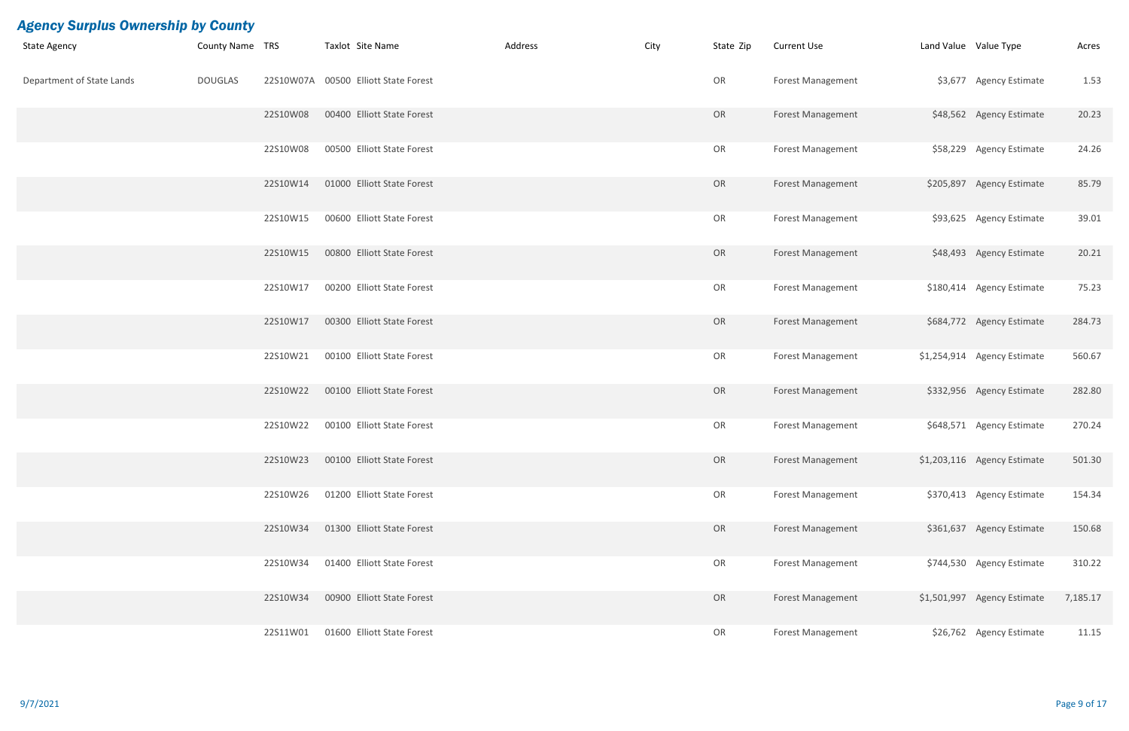| <b>State Agency</b>       | <b>County Name TRS</b> |          | Taxlot Site Name                     | Address | City | State Zip | <b>Current Use</b>       | Land Value Value Type |                             | Acres    |
|---------------------------|------------------------|----------|--------------------------------------|---------|------|-----------|--------------------------|-----------------------|-----------------------------|----------|
| Department of State Lands | <b>DOUGLAS</b>         |          | 22S10W07A 00500 Elliott State Forest |         |      | OR        | Forest Management        |                       | \$3,677 Agency Estimate     | 1.53     |
|                           |                        | 22S10W08 | 00400 Elliott State Forest           |         |      | OR        | <b>Forest Management</b> |                       | \$48,562 Agency Estimate    | 20.23    |
|                           |                        | 22S10W08 | 00500 Elliott State Forest           |         |      | OR        | <b>Forest Management</b> |                       | \$58,229 Agency Estimate    | 24.26    |
|                           |                        | 22S10W14 | 01000 Elliott State Forest           |         |      | OR        | <b>Forest Management</b> |                       | \$205,897 Agency Estimate   | 85.79    |
|                           |                        | 22S10W15 | 00600 Elliott State Forest           |         |      | OR        | <b>Forest Management</b> |                       | \$93,625 Agency Estimate    | 39.01    |
|                           |                        | 22S10W15 | 00800 Elliott State Forest           |         |      | OR        | <b>Forest Management</b> |                       | \$48,493 Agency Estimate    | 20.21    |
|                           |                        | 22S10W17 | 00200 Elliott State Forest           |         |      | OR        | <b>Forest Management</b> |                       | \$180,414 Agency Estimate   | 75.23    |
|                           |                        | 22S10W17 | 00300 Elliott State Forest           |         |      | OR        | <b>Forest Management</b> |                       | \$684,772 Agency Estimate   | 284.73   |
|                           |                        | 22S10W21 | 00100 Elliott State Forest           |         |      | OR        | <b>Forest Management</b> |                       | \$1,254,914 Agency Estimate | 560.67   |
|                           |                        | 22S10W22 | 00100 Elliott State Forest           |         |      | OR        | <b>Forest Management</b> |                       | \$332,956 Agency Estimate   | 282.80   |
|                           |                        | 22S10W22 | 00100 Elliott State Forest           |         |      | OR        | <b>Forest Management</b> |                       | \$648,571 Agency Estimate   | 270.24   |
|                           |                        | 22S10W23 | 00100 Elliott State Forest           |         |      | OR        | Forest Management        |                       | \$1,203,116 Agency Estimate | 501.30   |
|                           |                        | 22S10W26 | 01200 Elliott State Forest           |         |      | OR        | <b>Forest Management</b> |                       | \$370,413 Agency Estimate   | 154.34   |
|                           |                        | 22S10W34 | 01300 Elliott State Forest           |         |      | OR        | Forest Management        |                       | \$361,637 Agency Estimate   | 150.68   |
|                           |                        | 22S10W34 | 01400 Elliott State Forest           |         |      | OR        | <b>Forest Management</b> |                       | \$744,530 Agency Estimate   | 310.22   |
|                           |                        | 22S10W34 | 00900 Elliott State Forest           |         |      | OR        | <b>Forest Management</b> |                       | \$1,501,997 Agency Estimate | 7,185.17 |
|                           |                        | 22S11W01 | 01600 Elliott State Forest           |         |      | OR        | Forest Management        |                       | \$26,762 Agency Estimate    | 11.15    |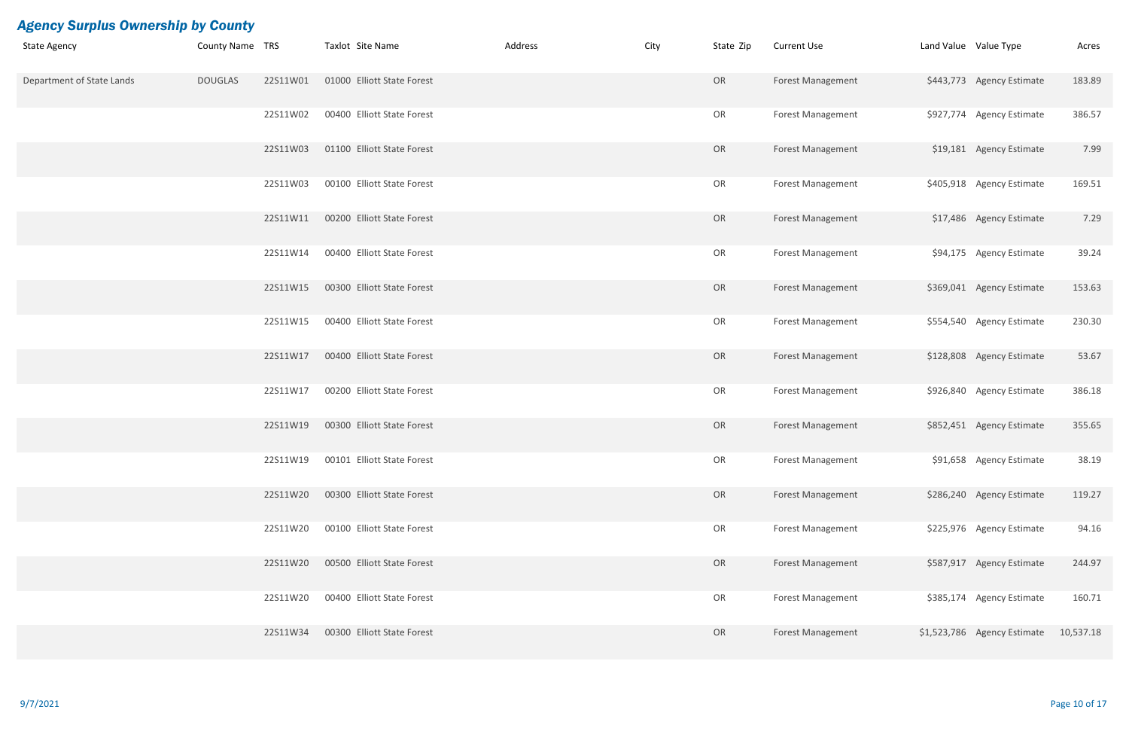| <b>State Agency</b>       | County Name TRS |          | Taxlot Site Name           | Address | City | State Zip | <b>Current Use</b>       | Land Value Value Type |                             | Acres     |
|---------------------------|-----------------|----------|----------------------------|---------|------|-----------|--------------------------|-----------------------|-----------------------------|-----------|
| Department of State Lands | <b>DOUGLAS</b>  | 22S11W01 | 01000 Elliott State Forest |         |      | OR        | <b>Forest Management</b> |                       | \$443,773 Agency Estimate   | 183.89    |
|                           |                 | 22S11W02 | 00400 Elliott State Forest |         |      | OR        | <b>Forest Management</b> |                       | \$927,774 Agency Estimate   | 386.57    |
|                           |                 | 22S11W03 | 01100 Elliott State Forest |         |      | OR        | <b>Forest Management</b> |                       | \$19,181 Agency Estimate    | 7.99      |
|                           |                 | 22S11W03 | 00100 Elliott State Forest |         |      | OR        | <b>Forest Management</b> |                       | \$405,918 Agency Estimate   | 169.51    |
|                           |                 | 22S11W11 | 00200 Elliott State Forest |         |      | OR        | <b>Forest Management</b> |                       | \$17,486 Agency Estimate    | 7.29      |
|                           |                 | 22S11W14 | 00400 Elliott State Forest |         |      | OR        | <b>Forest Management</b> |                       | \$94,175 Agency Estimate    | 39.24     |
|                           |                 | 22S11W15 | 00300 Elliott State Forest |         |      | OR        | <b>Forest Management</b> |                       | \$369,041 Agency Estimate   | 153.63    |
|                           |                 | 22S11W15 | 00400 Elliott State Forest |         |      | OR        | <b>Forest Management</b> |                       | \$554,540 Agency Estimate   | 230.30    |
|                           |                 | 22S11W17 | 00400 Elliott State Forest |         |      | OR        | <b>Forest Management</b> |                       | \$128,808 Agency Estimate   | 53.67     |
|                           |                 | 22S11W17 | 00200 Elliott State Forest |         |      | OR        | <b>Forest Management</b> |                       | \$926,840 Agency Estimate   | 386.18    |
|                           |                 | 22S11W19 | 00300 Elliott State Forest |         |      | OR        | <b>Forest Management</b> |                       | \$852,451 Agency Estimate   | 355.65    |
|                           |                 | 22S11W19 | 00101 Elliott State Forest |         |      | OR        | <b>Forest Management</b> |                       | \$91,658 Agency Estimate    | 38.19     |
|                           |                 | 22S11W20 | 00300 Elliott State Forest |         |      | OR        | <b>Forest Management</b> |                       | \$286,240 Agency Estimate   | 119.27    |
|                           |                 | 22S11W20 | 00100 Elliott State Forest |         |      | OR        | <b>Forest Management</b> |                       | \$225,976 Agency Estimate   | 94.16     |
|                           |                 | 22S11W20 | 00500 Elliott State Forest |         |      | OR        | Forest Management        |                       | \$587,917 Agency Estimate   | 244.97    |
|                           |                 | 22S11W20 | 00400 Elliott State Forest |         |      | OR        | <b>Forest Management</b> |                       | \$385,174 Agency Estimate   | 160.71    |
|                           |                 | 22S11W34 | 00300 Elliott State Forest |         |      | OR        | <b>Forest Management</b> |                       | \$1,523,786 Agency Estimate | 10,537.18 |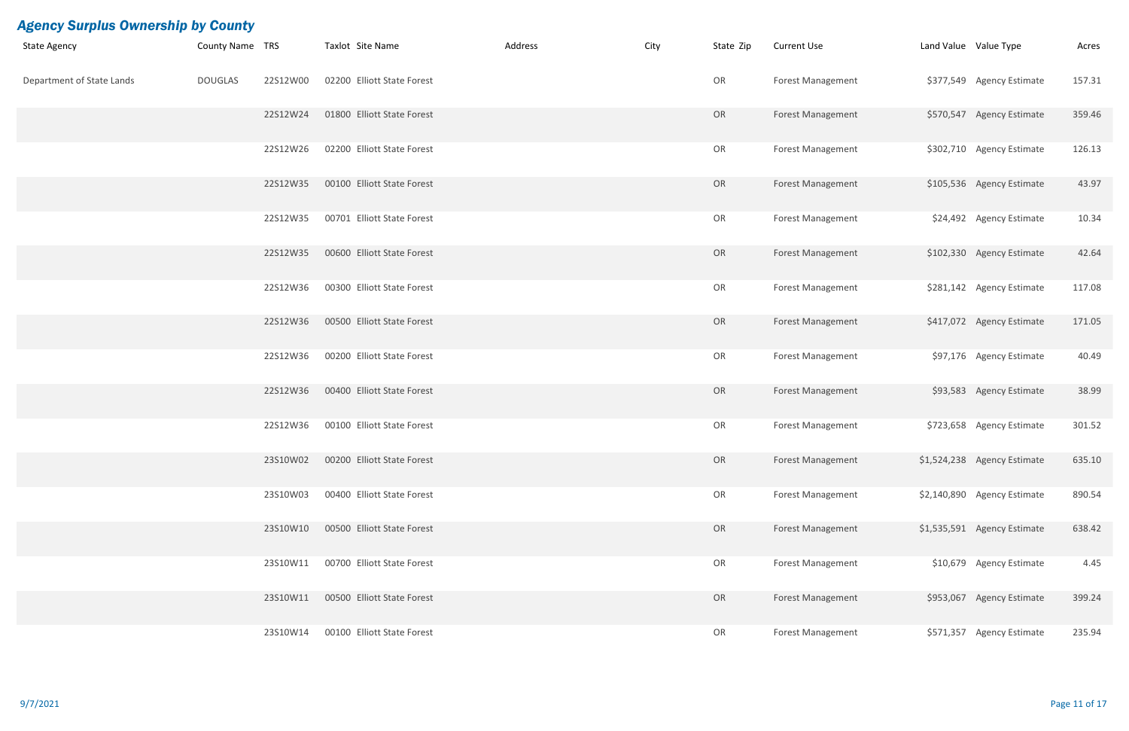| <b>State Agency</b>       | County Name TRS |          | Taxlot Site Name           | Address | City | State Zip | <b>Current Use</b>       | Land Value Value Type |                             | Acres  |
|---------------------------|-----------------|----------|----------------------------|---------|------|-----------|--------------------------|-----------------------|-----------------------------|--------|
| Department of State Lands | <b>DOUGLAS</b>  | 22S12W00 | 02200 Elliott State Forest |         |      | OR        | <b>Forest Management</b> |                       | \$377,549 Agency Estimate   | 157.31 |
|                           |                 | 22S12W24 | 01800 Elliott State Forest |         |      | OR        | <b>Forest Management</b> |                       | \$570,547 Agency Estimate   | 359.46 |
|                           |                 | 22S12W26 | 02200 Elliott State Forest |         |      | OR        | <b>Forest Management</b> |                       | \$302,710 Agency Estimate   | 126.13 |
|                           |                 | 22S12W35 | 00100 Elliott State Forest |         |      | OR        | <b>Forest Management</b> |                       | \$105,536 Agency Estimate   | 43.97  |
|                           |                 | 22S12W35 | 00701 Elliott State Forest |         |      | OR        | <b>Forest Management</b> |                       | \$24,492 Agency Estimate    | 10.34  |
|                           |                 | 22S12W35 | 00600 Elliott State Forest |         |      | OR        | <b>Forest Management</b> |                       | \$102,330 Agency Estimate   | 42.64  |
|                           |                 | 22S12W36 | 00300 Elliott State Forest |         |      | OR        | <b>Forest Management</b> |                       | \$281,142 Agency Estimate   | 117.08 |
|                           |                 | 22S12W36 | 00500 Elliott State Forest |         |      | OR        | <b>Forest Management</b> |                       | \$417,072 Agency Estimate   | 171.05 |
|                           |                 | 22S12W36 | 00200 Elliott State Forest |         |      | OR        | <b>Forest Management</b> |                       | \$97,176 Agency Estimate    | 40.49  |
|                           |                 | 22S12W36 | 00400 Elliott State Forest |         |      | OR        | <b>Forest Management</b> |                       | \$93,583 Agency Estimate    | 38.99  |
|                           |                 | 22S12W36 | 00100 Elliott State Forest |         |      | OR        | <b>Forest Management</b> |                       | \$723,658 Agency Estimate   | 301.52 |
|                           |                 | 23S10W02 | 00200 Elliott State Forest |         |      | OR        | Forest Management        |                       | \$1,524,238 Agency Estimate | 635.10 |
|                           |                 | 23S10W03 | 00400 Elliott State Forest |         |      | OR        | <b>Forest Management</b> |                       | \$2,140,890 Agency Estimate | 890.54 |
|                           |                 | 23S10W10 | 00500 Elliott State Forest |         |      | OR        | <b>Forest Management</b> |                       | \$1,535,591 Agency Estimate | 638.42 |
|                           |                 | 23S10W11 | 00700 Elliott State Forest |         |      | OR        | <b>Forest Management</b> |                       | \$10,679 Agency Estimate    | 4.45   |
|                           |                 | 23S10W11 | 00500 Elliott State Forest |         |      | OR        | <b>Forest Management</b> |                       | \$953,067 Agency Estimate   | 399.24 |
|                           |                 | 23S10W14 | 00100 Elliott State Forest |         |      | OR        | <b>Forest Management</b> |                       | \$571,357 Agency Estimate   | 235.94 |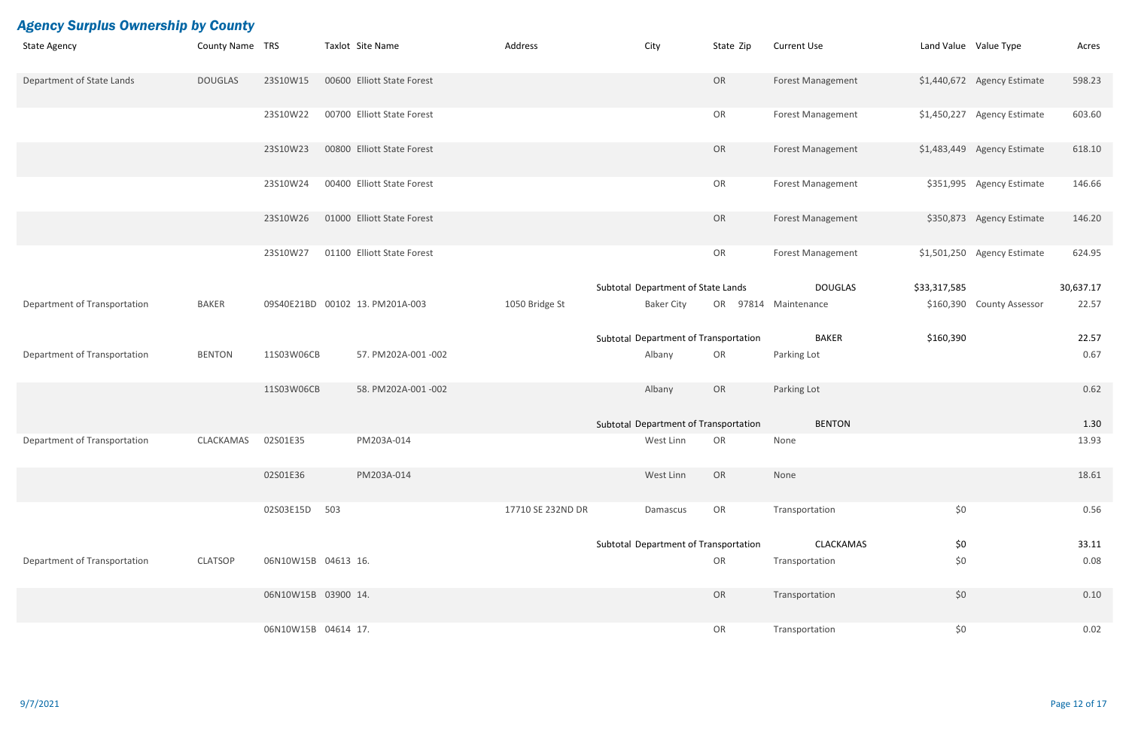| <b>Agency Surplus Ownership by County</b> |                 |                     |                                 |                   |                                       |           |                          |                       |                             |           |
|-------------------------------------------|-----------------|---------------------|---------------------------------|-------------------|---------------------------------------|-----------|--------------------------|-----------------------|-----------------------------|-----------|
| <b>State Agency</b>                       | County Name TRS |                     | Taxlot Site Name                | Address           | City                                  | State Zip | <b>Current Use</b>       | Land Value Value Type |                             | Acres     |
| Department of State Lands                 | <b>DOUGLAS</b>  | 23S10W15            | 00600 Elliott State Forest      |                   |                                       | OR        | Forest Management        |                       | \$1,440,672 Agency Estimate | 598.23    |
|                                           |                 | 23S10W22            | 00700 Elliott State Forest      |                   |                                       | OR        | Forest Management        |                       | \$1,450,227 Agency Estimate | 603.60    |
|                                           |                 | 23S10W23            | 00800 Elliott State Forest      |                   |                                       | OR        | <b>Forest Management</b> |                       | \$1,483,449 Agency Estimate | 618.10    |
|                                           |                 | 23S10W24            | 00400 Elliott State Forest      |                   |                                       | OR        | <b>Forest Management</b> |                       | \$351,995 Agency Estimate   | 146.66    |
|                                           |                 | 23S10W26            | 01000 Elliott State Forest      |                   |                                       | OR        | <b>Forest Management</b> |                       | \$350,873 Agency Estimate   | 146.20    |
|                                           |                 | 23S10W27            | 01100 Elliott State Forest      |                   |                                       | OR        | <b>Forest Management</b> |                       | \$1,501,250 Agency Estimate | 624.95    |
|                                           |                 |                     |                                 |                   | Subtotal Department of State Lands    |           | <b>DOUGLAS</b>           | \$33,317,585          |                             | 30,637.17 |
| Department of Transportation              | <b>BAKER</b>    |                     | 09S40E21BD 00102 13. PM201A-003 | 1050 Bridge St    | <b>Baker City</b>                     |           | OR 97814 Maintenance     |                       | \$160,390 County Assessor   | 22.57     |
|                                           |                 |                     |                                 |                   | Subtotal Department of Transportation |           | <b>BAKER</b>             | \$160,390             |                             | 22.57     |
| Department of Transportation              | <b>BENTON</b>   | 11S03W06CB          | 57. PM202A-001-002              |                   | Albany                                | OR        | Parking Lot              |                       |                             | 0.67      |
|                                           |                 | 11S03W06CB          | 58. PM202A-001 -002             |                   | Albany                                | OR        | Parking Lot              |                       |                             | 0.62      |
|                                           |                 |                     |                                 |                   | Subtotal Department of Transportation |           | <b>BENTON</b>            |                       |                             | 1.30      |
| Department of Transportation              | CLACKAMAS       | 02S01E35            | PM203A-014                      |                   | West Linn                             | OR        | None                     |                       |                             | 13.93     |
|                                           |                 | 02S01E36            | PM203A-014                      |                   | West Linn                             | OR        | None                     |                       |                             | 18.61     |
|                                           |                 | 02S03E15D 503       |                                 | 17710 SE 232ND DR | Damascus                              | OR        | Transportation           | \$0                   |                             | 0.56      |
|                                           |                 |                     |                                 |                   | Subtotal Department of Transportation |           | CLACKAMAS                | \$0                   |                             | 33.11     |
| Department of Transportation              | <b>CLATSOP</b>  | 06N10W15B 04613 16. |                                 |                   |                                       | OR        | Transportation           | \$0\$                 |                             | 0.08      |
|                                           |                 | 06N10W15B 03900 14. |                                 |                   |                                       | OR        | Transportation           | \$0                   |                             | 0.10      |
|                                           |                 | 06N10W15B 04614 17. |                                 |                   |                                       | OR        | Transportation           | \$0                   |                             | 0.02      |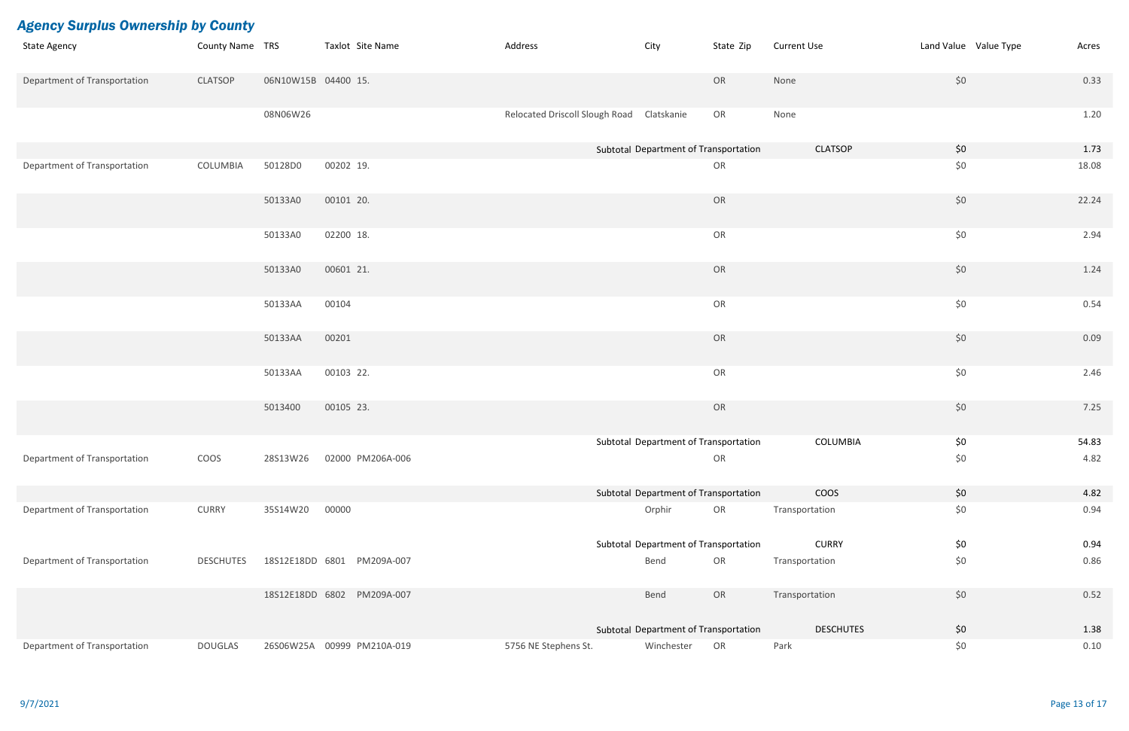| <b>Agency Surplus Ownership by County</b> |                  |                     |                            |                                           |                                       |           |                    |                       |       |
|-------------------------------------------|------------------|---------------------|----------------------------|-------------------------------------------|---------------------------------------|-----------|--------------------|-----------------------|-------|
| <b>State Agency</b>                       | County Name TRS  |                     | Taxlot Site Name           | Address                                   | City                                  | State Zip | <b>Current Use</b> | Land Value Value Type | Acres |
| Department of Transportation              | <b>CLATSOP</b>   | 06N10W15B 04400 15. |                            |                                           |                                       | OR        | None               | \$0                   | 0.33  |
|                                           |                  | 08N06W26            |                            | Relocated Driscoll Slough Road Clatskanie |                                       | OR        | None               |                       | 1.20  |
|                                           |                  |                     |                            |                                           | Subtotal Department of Transportation |           | <b>CLATSOP</b>     | \$0                   | 1.73  |
| Department of Transportation              | COLUMBIA         | 50128D0             | 00202 19.                  |                                           |                                       | OR        |                    | \$0                   | 18.08 |
|                                           |                  | 50133A0             | 00101 20.                  |                                           |                                       | OR        |                    | \$0                   | 22.24 |
|                                           |                  | 50133A0             | 02200 18.                  |                                           |                                       | OR        |                    | \$0                   | 2.94  |
|                                           |                  | 50133A0             | 00601 21.                  |                                           |                                       | OR        |                    | \$0                   | 1.24  |
|                                           |                  | 50133AA             | 00104                      |                                           |                                       | OR        |                    | \$0                   | 0.54  |
|                                           |                  | 50133AA             | 00201                      |                                           |                                       | OR        |                    | \$0                   | 0.09  |
|                                           |                  | 50133AA             | 00103 22.                  |                                           |                                       | OR        |                    | \$0                   | 2.46  |
|                                           |                  | 5013400             | 00105 23.                  |                                           |                                       | OR        |                    | \$0                   | 7.25  |
|                                           |                  |                     |                            |                                           | Subtotal Department of Transportation |           | COLUMBIA           | \$0                   | 54.83 |
| Department of Transportation              | COOS             | 28S13W26            | 02000 PM206A-006           |                                           |                                       | OR        |                    | \$0                   | 4.82  |
|                                           |                  |                     |                            |                                           | Subtotal Department of Transportation |           | <b>COOS</b>        | \$0                   | 4.82  |
| Department of Transportation              | <b>CURRY</b>     | 35S14W20            | 00000                      |                                           | Orphir                                | OR        | Transportation     | \$0                   | 0.94  |
|                                           |                  |                     |                            |                                           | Subtotal Department of Transportation |           | <b>CURRY</b>       | \$0                   | 0.94  |
| Department of Transportation              | <b>DESCHUTES</b> |                     | 18S12E18DD 6801 PM209A-007 |                                           | Bend                                  | OR        | Transportation     | \$0                   | 0.86  |
|                                           |                  |                     | 18S12E18DD 6802 PM209A-007 |                                           | Bend                                  | OR        | Transportation     | \$0                   | 0.52  |
|                                           |                  |                     |                            |                                           | Subtotal Department of Transportation |           | <b>DESCHUTES</b>   | \$0                   | 1.38  |
| Department of Transportation              | <b>DOUGLAS</b>   |                     | 26S06W25A 00999 PM210A-019 | 5756 NE Stephens St.                      | Winchester                            | OR        | Park               | \$0                   | 0.10  |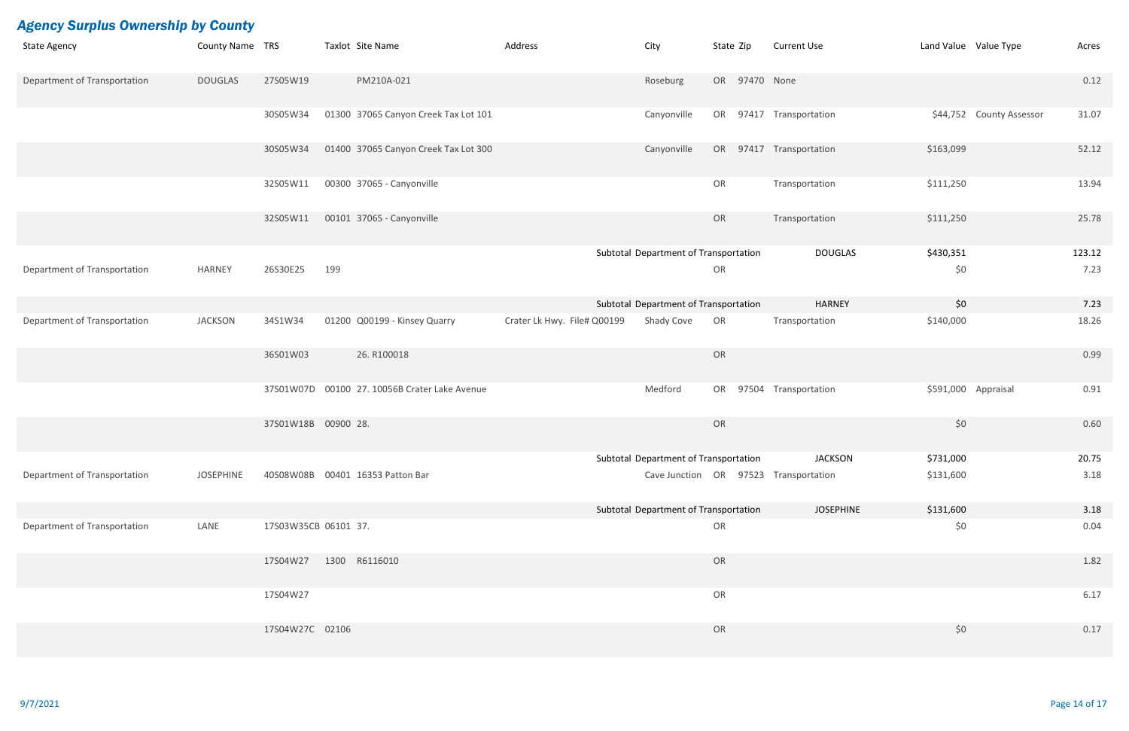| <b>State Agency</b>          | County Name TRS  |                      | Taxlot Site Name                                   | Address                     | City                                  | State Zip     | <b>Current Use</b>                    |           | Land Value Value Type    | Acres  |
|------------------------------|------------------|----------------------|----------------------------------------------------|-----------------------------|---------------------------------------|---------------|---------------------------------------|-----------|--------------------------|--------|
| Department of Transportation | <b>DOUGLAS</b>   | 27S05W19             | PM210A-021                                         |                             | Roseburg                              | OR 97470 None |                                       |           |                          | 0.12   |
|                              |                  | 30S05W34             | 01300 37065 Canyon Creek Tax Lot 101               |                             | Canyonville                           |               | OR 97417 Transportation               |           | \$44,752 County Assessor | 31.07  |
|                              |                  | 30S05W34             | 01400 37065 Canyon Creek Tax Lot 300               |                             | Canyonville                           |               | OR 97417 Transportation               | \$163,099 |                          | 52.12  |
|                              |                  | 32S05W11             | 00300 37065 - Canyonville                          |                             |                                       | OR            | Transportation                        | \$111,250 |                          | 13.94  |
|                              |                  | 32S05W11             | 00101 37065 - Canyonville                          |                             |                                       | OR            | Transportation                        | \$111,250 |                          | 25.78  |
|                              |                  |                      |                                                    |                             | Subtotal Department of Transportation |               | <b>DOUGLAS</b>                        | \$430,351 |                          | 123.12 |
| Department of Transportation | <b>HARNEY</b>    | 26S30E25             | 199                                                |                             |                                       | OR            |                                       | \$0       |                          | 7.23   |
|                              |                  |                      |                                                    |                             | Subtotal Department of Transportation |               | <b>HARNEY</b>                         | \$0       |                          | 7.23   |
| Department of Transportation | <b>JACKSON</b>   | 34S1W34              | 01200 Q00199 - Kinsey Quarry                       | Crater Lk Hwy. File# Q00199 | Shady Cove                            | OR            | Transportation                        | \$140,000 |                          | 18.26  |
|                              |                  | 36S01W03             | 26. R100018                                        |                             |                                       | OR            |                                       |           |                          | 0.99   |
|                              |                  |                      | 37S01W07D   00100   27.10056B   Crater Lake Avenue |                             | Medford                               |               | OR 97504 Transportation               |           | \$591,000 Appraisal      | 0.91   |
|                              |                  | 37S01W18B 00900 28.  |                                                    |                             |                                       | OR            |                                       | \$0       |                          | 0.60   |
|                              |                  |                      |                                                    |                             | Subtotal Department of Transportation |               | <b>JACKSON</b>                        | \$731,000 |                          | 20.75  |
| Department of Transportation | <b>JOSEPHINE</b> |                      | 40S08W08B 00401 16353 Patton Bar                   |                             |                                       |               | Cave Junction OR 97523 Transportation | \$131,600 |                          | 3.18   |
|                              |                  |                      |                                                    |                             | Subtotal Department of Transportation |               | <b>JOSEPHINE</b>                      | \$131,600 |                          | 3.18   |
| Department of Transportation | LANE             | 17S03W35CB 06101 37. |                                                    |                             |                                       | OR            |                                       | \$0       |                          | 0.04   |
|                              |                  | 17S04W27             | 1300 R6116010                                      |                             |                                       | OR            |                                       |           |                          | 1.82   |
|                              |                  | 17S04W27             |                                                    |                             |                                       | OR            |                                       |           |                          | 6.17   |
|                              |                  | 17S04W27C 02106      |                                                    |                             |                                       | OR            |                                       | \$0       |                          | 0.17   |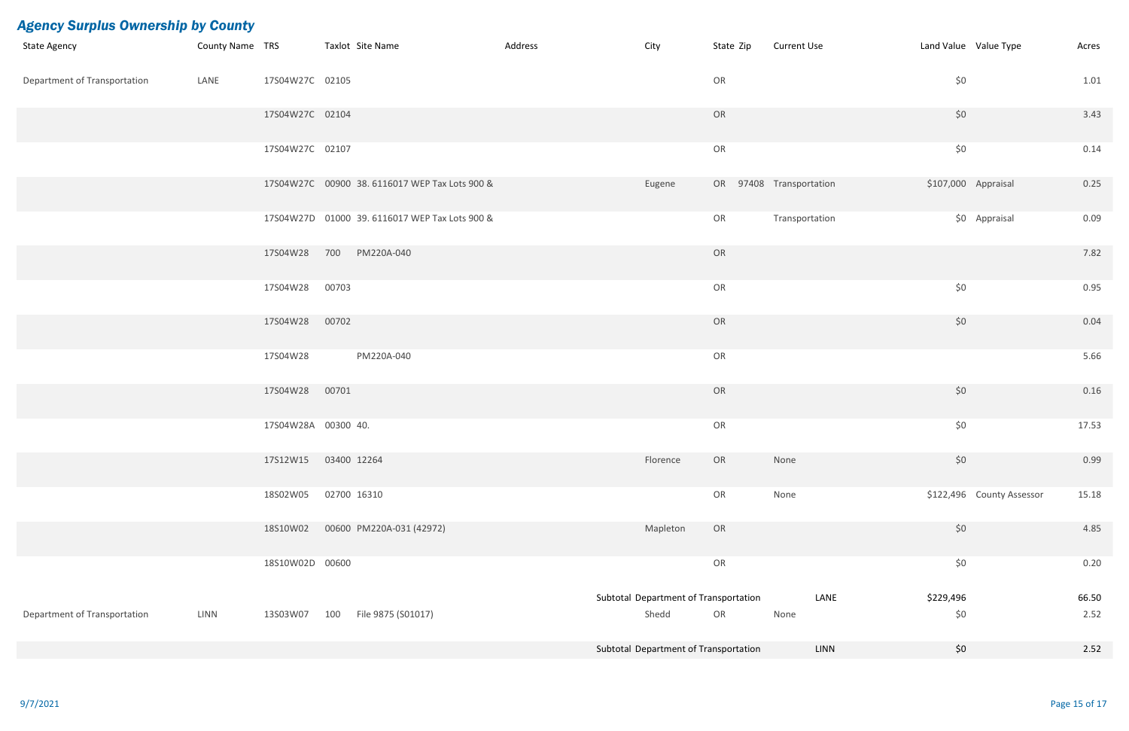| <b>State Agency</b>                 |      |                     | County Name TRS Taxlot Site Name              | Address | City                                  | State Zip               | <b>Current Use</b> |                   | Land Value Value Type<br>Acres     |
|-------------------------------------|------|---------------------|-----------------------------------------------|---------|---------------------------------------|-------------------------|--------------------|-------------------|------------------------------------|
| <b>Department of Transportation</b> | LANE | 17S04W27C 02105     |                                               |         |                                       | OR                      |                    | \$0               | 1.01                               |
|                                     |      | 17S04W27C 02104     |                                               |         |                                       | OR                      |                    | \$0               | 3.43                               |
|                                     |      | 17S04W27C 02107     |                                               |         |                                       | OR                      |                    | \$0               | 0.14                               |
|                                     |      |                     | 17S04W27C 00900 38.6116017 WEP Tax Lots 900 & |         | Eugene                                | OR 97408 Transportation |                    |                   | \$107,000 Appraisal<br>0.25        |
|                                     |      |                     | 17S04W27D 01000 39.6116017 WEP Tax Lots 900 & |         |                                       | OR                      | Transportation     |                   | \$0 Appraisal<br>0.09              |
|                                     |      | 17S04W28            | 700 PM220A-040                                |         |                                       | OR                      |                    |                   | 7.82                               |
|                                     |      | 17S04W28 00703      |                                               |         |                                       | OR                      |                    | \$0               | 0.95                               |
|                                     |      | 17S04W28            | 00702                                         |         |                                       | OR                      |                    | \$0               | 0.04                               |
|                                     |      | 17S04W28            | PM220A-040                                    |         |                                       | OR                      |                    |                   | 5.66                               |
|                                     |      | 17S04W28            | 00701                                         |         |                                       | OR                      |                    | \$0               | 0.16                               |
|                                     |      | 17S04W28A 00300 40. |                                               |         |                                       | OR                      |                    | \$0               | 17.53                              |
|                                     |      | 17S12W15            | 03400 12264                                   |         | Florence                              | OR                      | None               | \$0               | 0.99                               |
|                                     |      | 18S02W05            | 02700 16310                                   |         |                                       | OR                      | None               |                   | \$122,496 County Assessor<br>15.18 |
|                                     |      | 18S10W02            | 00600 PM220A-031 (42972)                      |         | Mapleton                              | OR                      |                    | \$0               | 4.85                               |
|                                     |      | 18S10W02D 00600     |                                               |         |                                       | OR                      |                    | $$0$$             | 0.20                               |
|                                     |      |                     |                                               |         | Subtotal Department of Transportation |                         |                    | LANE<br>\$229,496 | 66.50                              |
| Department of Transportation        | LINN | 13S03W07            | File 9875 (S01017)<br>100                     |         | Shedd                                 | OR                      | None               | \$0               | 2.52                               |
|                                     |      |                     |                                               |         | Subtotal Department of Transportation |                         |                    | \$0<br>LINN       | 2.52                               |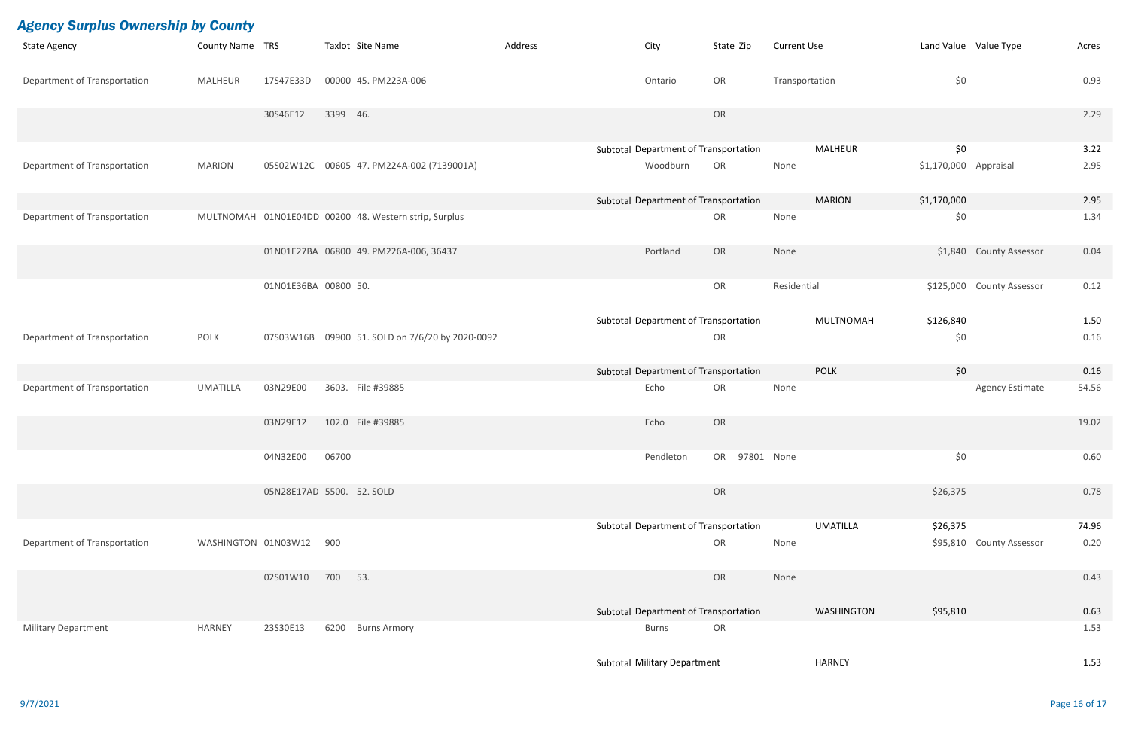| <b>Agency Surplus Ownership by County</b> |                     |                      |                                                       |         |                                       |               |                    |                   |                       |                          |       |
|-------------------------------------------|---------------------|----------------------|-------------------------------------------------------|---------|---------------------------------------|---------------|--------------------|-------------------|-----------------------|--------------------------|-------|
| <b>State Agency</b>                       | County Name TRS     |                      | Taxlot Site Name                                      | Address | City                                  | State Zip     | <b>Current Use</b> |                   |                       | Land Value Value Type    | Acres |
| Department of Transportation              | <b>MALHEUR</b>      | 17S47E33D            | 00000 45. PM223A-006                                  |         | Ontario                               | OR            | Transportation     |                   | \$0                   |                          | 0.93  |
|                                           |                     | 30S46E12             | 3399 46.                                              |         |                                       | OR            |                    |                   |                       |                          | 2.29  |
|                                           |                     |                      |                                                       |         | Subtotal Department of Transportation |               |                    | <b>MALHEUR</b>    | \$0                   |                          | 3.22  |
| Department of Transportation              | <b>MARION</b>       |                      | 05S02W12C 00605 47. PM224A-002 (7139001A)             |         | Woodburn                              | OR            | None               |                   | \$1,170,000 Appraisal |                          | 2.95  |
|                                           |                     |                      |                                                       |         | Subtotal Department of Transportation |               |                    | <b>MARION</b>     | \$1,170,000           |                          | 2.95  |
| Department of Transportation              |                     |                      | MULTNOMAH 01N01E04DD 00200 48. Western strip, Surplus |         |                                       | OR            | None               |                   | \$0                   |                          | 1.34  |
|                                           |                     |                      | 01N01E27BA 06800 49. PM226A-006, 36437                |         | Portland                              | OR            | None               |                   |                       | \$1,840 County Assessor  | 0.04  |
|                                           |                     | 01N01E36BA 00800 50. |                                                       |         |                                       | OR            | Residential        |                   | \$125,000             | <b>County Assessor</b>   | 0.12  |
|                                           |                     |                      |                                                       |         | Subtotal Department of Transportation |               |                    | <b>MULTNOMAH</b>  | \$126,840             |                          | 1.50  |
| Department of Transportation              | <b>POLK</b>         |                      | 07S03W16B 09900 51. SOLD on 7/6/20 by 2020-0092       |         |                                       | OR            |                    |                   | \$0                   |                          | 0.16  |
|                                           |                     |                      |                                                       |         | Subtotal Department of Transportation |               |                    | <b>POLK</b>       | \$0                   |                          | 0.16  |
| Department of Transportation              | <b>UMATILLA</b>     | 03N29E00             | 3603. File #39885                                     |         | Echo                                  | OR            | None               |                   |                       | <b>Agency Estimate</b>   | 54.56 |
|                                           |                     | 03N29E12             | 102.0 File #39885                                     |         | Echo                                  | OR            |                    |                   |                       |                          | 19.02 |
|                                           |                     | 04N32E00             | 06700                                                 |         | Pendleton                             | OR 97801 None |                    |                   | \$0                   |                          | 0.60  |
|                                           |                     |                      | 05N28E17AD 5500. 52. SOLD                             |         |                                       | OR            |                    |                   | \$26,375              |                          | 0.78  |
|                                           |                     |                      |                                                       |         | Subtotal Department of Transportation |               |                    | <b>UMATILLA</b>   | \$26,375              |                          | 74.96 |
| Department of Transportation              | WASHINGTON 01N03W12 |                      | 900                                                   |         |                                       | OR            | None               |                   |                       | \$95,810 County Assessor | 0.20  |
|                                           |                     | 02S01W10             | 700 53.                                               |         |                                       | OR            | None               |                   |                       |                          | 0.43  |
|                                           |                     |                      |                                                       |         | Subtotal Department of Transportation |               |                    | <b>WASHINGTON</b> | \$95,810              |                          | 0.63  |
| <b>Military Department</b>                | <b>HARNEY</b>       | 23S30E13             | 6200 Burns Armory                                     |         | <b>Burns</b>                          | OR            |                    |                   |                       |                          | 1.53  |
|                                           |                     |                      |                                                       |         | Subtotal Military Department          |               |                    | <b>HARNEY</b>     |                       |                          | 1.53  |